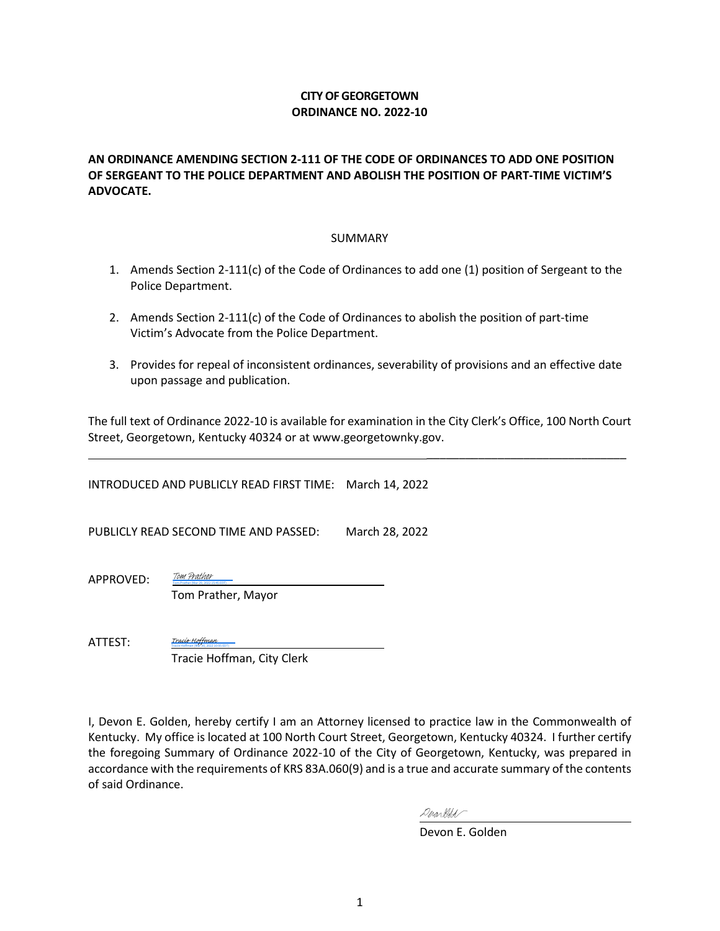## **CITY OF GEORGETOWN ORDINANCE NO. 2022-10**

## **AN ORDINANCE AMENDING SECTION 2-111 OF THE CODE OF ORDINANCES TO ADD ONE POSITION OF SERGEANT TO THE POLICE DEPARTMENT AND ABOLISH THE POSITION OF PART-TIME VICTIM'S ADVOCATE.**

#### SUMMARY

- 1. Amends Section 2-111(c) of the Code of Ordinances to add one (1) position of Sergeant to the Police Department.
- 2. Amends Section 2-111(c) of the Code of Ordinances to abolish the position of part-time Victim's Advocate from the Police Department.
- 3. Provides for repeal of inconsistent ordinances, severability of provisions and an effective date upon passage and publication.

The full text of Ordinance 2022-10 is available for examination in the City Clerk's Office, 100 North Court Street, Georgetown, Kentucky 40324 or at www.georgetownky.gov.

INTRODUCED AND PUBLICLY READ FIRST TIME: March 14, 2022

PUBLICLY READ SECOND TIME AND PASSED: March 28, 2022

APPROVED:

 Tom Prather, Mayor <u>TOM Prather</u><br>[Tom Prather](https://na1.documents.adobe.com/verifier?tx=CBJCHBCAABAAsk8vfW5sAJpO0obzmTxeTImguuvtJDeT) (Mar 29, 2022 15:45 EDT)

ATTEST:

 Tracie Hoffman, City Clerk [Tracie Hoffman](https://na1.documents.adobe.com/verifier?tx=CBJCHBCAABAAsk8vfW5sAJpO0obzmTxeTImguuvtJDeT)<br>Tracie Hoffman (Mar 30, 2022 10:05 EDT)

I, Devon E. Golden, hereby certify I am an Attorney licensed to practice law in the Commonwealth of Kentucky. My office is located at 100 North Court Street, Georgetown, Kentucky 40324. I further certify the foregoing Summary of Ordinance 2022-10 of the City of Georgetown, Kentucky, was prepared in accordance with the requirements of KRS 83A.060(9) and is a true and accurate summary of the contents of said Ordinance.

Derartled

Devon E. Golden

\_\_\_\_\_\_\_\_\_\_\_\_\_\_\_\_\_\_\_\_\_\_\_\_\_\_\_\_\_\_\_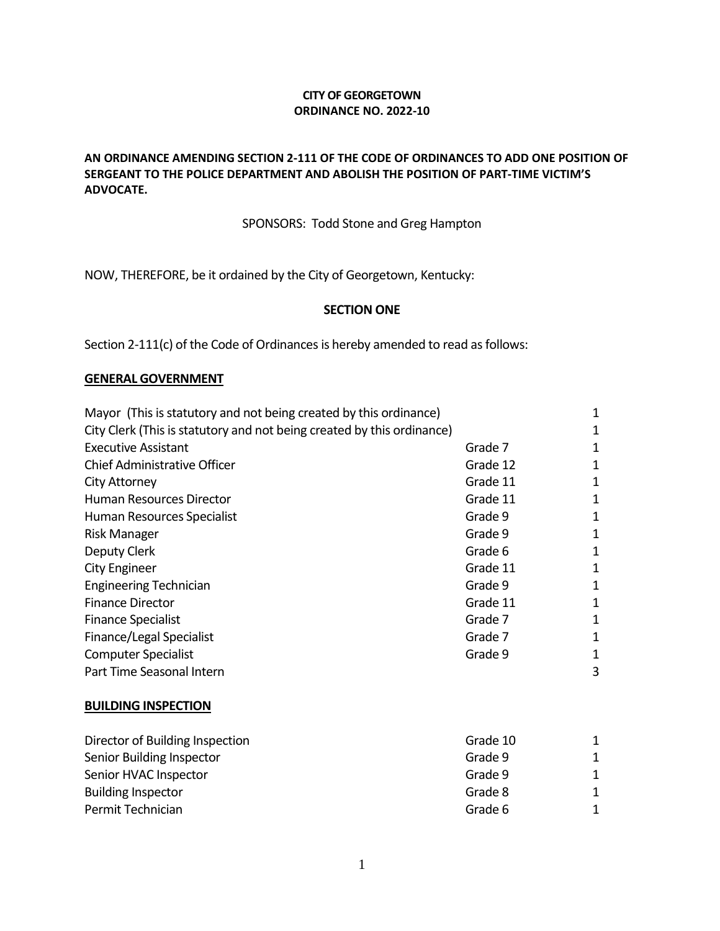## **CITY OF GEORGETOWN ORDINANCE NO. 2022-10**

## **AN ORDINANCE AMENDING SECTION 2-111 OF THE CODE OF ORDINANCES TO ADD ONE POSITION OF SERGEANT TO THE POLICE DEPARTMENT AND ABOLISH THE POSITION OF PART-TIME VICTIM'S ADVOCATE.**

## SPONSORS: Todd Stone and Greg Hampton

NOW, THEREFORE, be it ordained by the City of Georgetown, Kentucky:

#### **SECTION ONE**

Section 2-111(c) of the Code of Ordinances is hereby amended to read as follows:

#### **GENERAL GOVERNMENT**

| Mayor (This is statutory and not being created by this ordinance)      |          | 1 |
|------------------------------------------------------------------------|----------|---|
| City Clerk (This is statutory and not being created by this ordinance) |          | 1 |
| <b>Executive Assistant</b>                                             | Grade 7  | 1 |
| <b>Chief Administrative Officer</b>                                    | Grade 12 | 1 |
| <b>City Attorney</b>                                                   | Grade 11 | 1 |
| Human Resources Director                                               | Grade 11 | 1 |
| Human Resources Specialist                                             | Grade 9  | 1 |
| <b>Risk Manager</b>                                                    | Grade 9  | 1 |
| Deputy Clerk                                                           | Grade 6  | 1 |
| City Engineer                                                          | Grade 11 | 1 |
| <b>Engineering Technician</b>                                          | Grade 9  | 1 |
| <b>Finance Director</b>                                                | Grade 11 | 1 |
| <b>Finance Specialist</b>                                              | Grade 7  | 1 |
| Finance/Legal Specialist                                               | Grade 7  | 1 |
| <b>Computer Specialist</b>                                             | Grade 9  | 1 |
| Part Time Seasonal Intern                                              |          | 3 |
| <b>BUILDING INSPECTION</b>                                             |          |   |
| Director of Building Inspection                                        | Grade 10 | 1 |
| Senior Building Inspector                                              | Grade 9  |   |

| Senior Building Inspector | Grade 9 |  |
|---------------------------|---------|--|
| Senior HVAC Inspector     | Grade 9 |  |
| <b>Building Inspector</b> | Grade 8 |  |
| Permit Technician         | Grade 6 |  |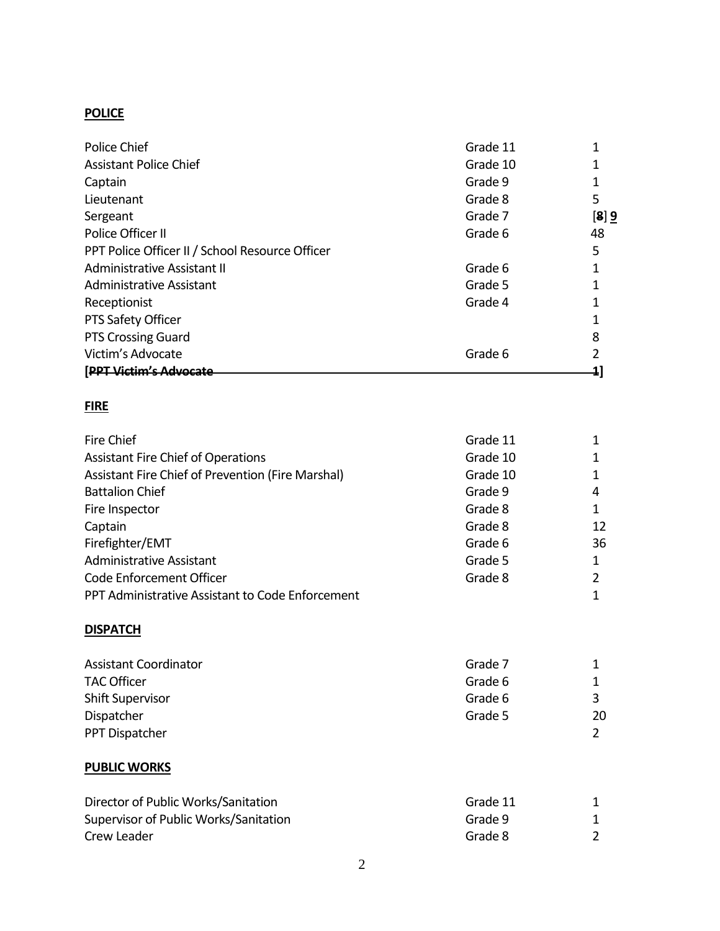## **POLICE**

| Police Chief                                    | Grade 11 |      |
|-------------------------------------------------|----------|------|
| <b>Assistant Police Chief</b>                   | Grade 10 |      |
| Captain                                         | Grade 9  |      |
| Lieutenant                                      | Grade 8  | 5    |
| Sergeant                                        | Grade 7  | [8]9 |
| Police Officer II                               | Grade 6  | 48   |
| PPT Police Officer II / School Resource Officer |          | 5    |
| Administrative Assistant II                     | Grade 6  |      |
| Administrative Assistant                        | Grade 5  |      |
| Receptionist                                    | Grade 4  |      |
| PTS Safety Officer                              |          |      |
| <b>PTS Crossing Guard</b>                       |          | 8    |
| Victim's Advocate                               | Grade 6  |      |
| [PPT Victim's Advocate                          |          |      |

## **FIRE**

| Fire Chief                                        | Grade 11 |    |
|---------------------------------------------------|----------|----|
| <b>Assistant Fire Chief of Operations</b>         | Grade 10 |    |
| Assistant Fire Chief of Prevention (Fire Marshal) | Grade 10 |    |
| <b>Battalion Chief</b>                            | Grade 9  | 4  |
| Fire Inspector                                    | Grade 8  |    |
| Captain                                           | Grade 8  | 12 |
| Firefighter/EMT                                   | Grade 6  | 36 |
| <b>Administrative Assistant</b>                   | Grade 5  |    |
| Code Enforcement Officer                          | Grade 8  |    |
| PPT Administrative Assistant to Code Enforcement  |          |    |

## **DISPATCH**

| <b>Assistant Coordinator</b> | Grade 7 |    |
|------------------------------|---------|----|
| <b>TAC Officer</b>           | Grade 6 |    |
| Shift Supervisor             | Grade 6 |    |
| Dispatcher                   | Grade 5 | 20 |
| PPT Dispatcher               |         |    |

## **PUBLIC WORKS**

| Director of Public Works/Sanitation   | Grade 11 |  |
|---------------------------------------|----------|--|
| Supervisor of Public Works/Sanitation | Grade 9  |  |
| Crew Leader                           | Grade 8  |  |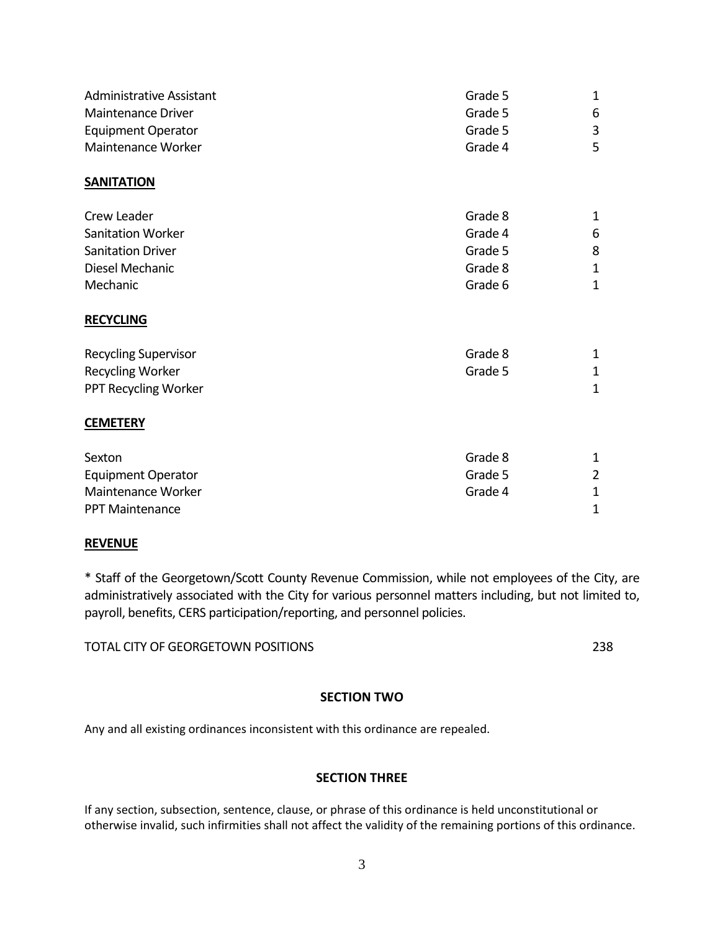| <b>Administrative Assistant</b> | Grade 5 | $\mathbf 1$    |
|---------------------------------|---------|----------------|
| Maintenance Driver              | Grade 5 | 6              |
| <b>Equipment Operator</b>       | Grade 5 | 3              |
| Maintenance Worker              | Grade 4 | 5              |
| <b>SANITATION</b>               |         |                |
| Crew Leader                     | Grade 8 | 1              |
| <b>Sanitation Worker</b>        | Grade 4 | 6              |
| <b>Sanitation Driver</b>        | Grade 5 | 8              |
| Diesel Mechanic                 | Grade 8 | $\mathbf 1$    |
| Mechanic                        | Grade 6 | $\mathbf 1$    |
| <b>RECYCLING</b>                |         |                |
| <b>Recycling Supervisor</b>     | Grade 8 | 1              |
| <b>Recycling Worker</b>         | Grade 5 | $\mathbf 1$    |
| PPT Recycling Worker            |         | $\mathbf 1$    |
| <b>CEMETERY</b>                 |         |                |
| Sexton                          | Grade 8 | $\mathbf 1$    |
| <b>Equipment Operator</b>       | Grade 5 | $\overline{2}$ |
| Maintenance Worker              | Grade 4 | 1              |

#### **REVENUE**

\* Staff of the Georgetown/Scott County Revenue Commission, while not employees of the City, are administratively associated with the City for various personnel matters including, but not limited to, payroll, benefits, CERS participation/reporting, and personnel policies.

PPT Maintenance 2012 12:00 12:00 12:00 12:00 12:00 12:00 12:00 12:00 12:00 12:00 12:00 12:00 12:00 12:00 12:00 12:00 12:00 12:00 12:00 12:00 12:00 12:00 12:00 12:00 12:00 12:00 12:00 12:00 12:00 12:00 12:00 12:00 12:00 12:

TOTAL CITY OF GEORGETOWN POSITIONS 238

## **SECTION TWO**

Any and all existing ordinances inconsistent with this ordinance are repealed.

## **SECTION THREE**

If any section, subsection, sentence, clause, or phrase of this ordinance is held unconstitutional or otherwise invalid, such infirmities shall not affect the validity of the remaining portions of this ordinance.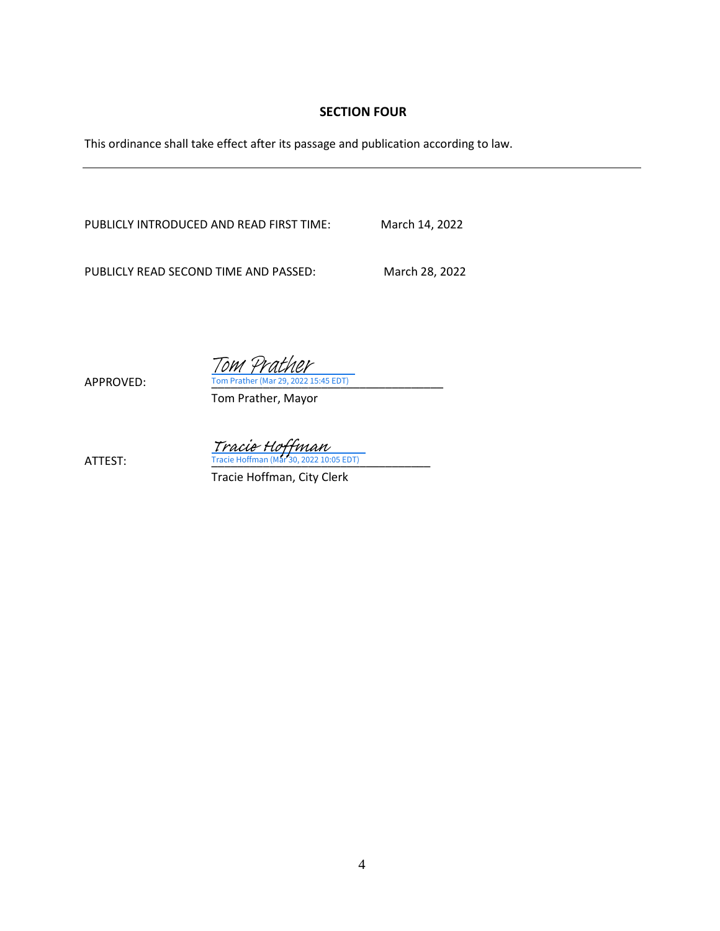## **SECTION FOUR**

This ordinance shall take effect after its passage and publication according to law.

PUBLICLY INTRODUCED AND READ FIRST TIME: March 14, 2022

PUBLICLY READ SECOND TIME AND PASSED: March 28, 2022

APPROVED: Tom Prather (Mar 29, 2022 15:45 EDT) Tom Prather

Tom Prather, Mayor

 $\frac{Trace\; H\text{C}$  HOffman (Mar 30, 2022 10:05 EDT)

Tracie Hoffman, City Clerk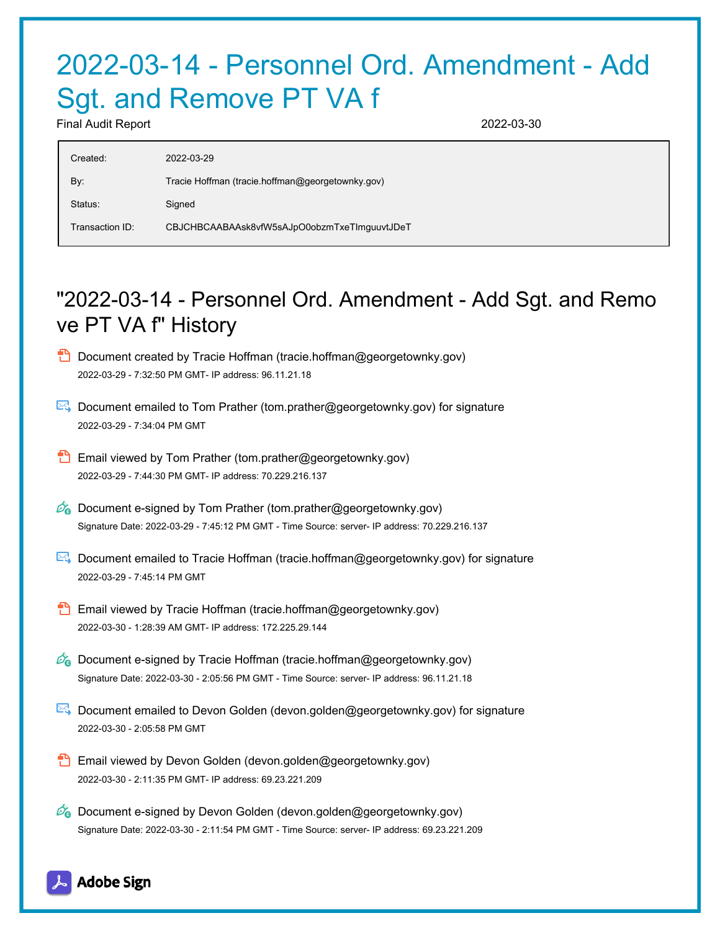# 2022-03-14 - Personnel Ord. Amendment - Add Sgt. and Remove PT VA f

Final Audit Report 2022-03-30

| Created:        | 2022-03-29                                       |
|-----------------|--------------------------------------------------|
| By:             | Tracie Hoffman (tracie.hoffman@georgetownky.gov) |
| Status:         | Signed                                           |
| Transaction ID: | CBJCHBCAABAAsk8vfW5sAJpO0obzmTxeTImguuvtJDeT     |

## "2022-03-14 - Personnel Ord. Amendment - Add Sgt. and Remo ve PT VA f" History

- **D** Document created by Tracie Hoffman (tracie.hoffman@georgetownky.gov) 2022-03-29 - 7:32:50 PM GMT- IP address: 96.11.21.18
- Document emailed to Tom Prather (tom.prather@georgetownky.gov) for signature 2022-03-29 - 7:34:04 PM GMT
- **Email viewed by Tom Prather (tom.prather@georgetownky.gov)** 2022-03-29 - 7:44:30 PM GMT- IP address: 70.229.216.137
- $\mathscr{D}_{\mathbf{G}}$  Document e-signed by Tom Prather (tom.prather@georgetownky.gov) Signature Date: 2022-03-29 - 7:45:12 PM GMT - Time Source: server- IP address: 70.229.216.137
- Document emailed to Tracie Hoffman (tracie.hoffman@georgetownky.gov) for signature 2022-03-29 - 7:45:14 PM GMT
- **Email viewed by Tracie Hoffman (tracie.hoffman@georgetownky.gov)** 2022-03-30 - 1:28:39 AM GMT- IP address: 172.225.29.144
- $\mathcal{D}_0$  Document e-signed by Tracie Hoffman (tracie.hoffman@georgetownky.gov) Signature Date: 2022-03-30 - 2:05:56 PM GMT - Time Source: server- IP address: 96.11.21.18
- **E** Document emailed to Devon Golden (devon.golden@georgetownky.gov) for signature 2022-03-30 - 2:05:58 PM GMT
- Email viewed by Devon Golden (devon.golden@georgetownky.gov) 2022-03-30 - 2:11:35 PM GMT- IP address: 69.23.221.209
- $\mathscr{A}_{\bullet}$  Document e-signed by Devon Golden (devon.golden@georgetownky.gov) Signature Date: 2022-03-30 - 2:11:54 PM GMT - Time Source: server- IP address: 69.23.221.209

## **Adobe Sign**